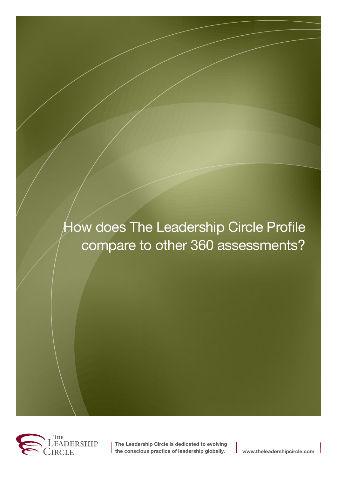# How does The Leadership Circle Profile compare to other 360 assessments?



**The Leadership Circle is dedicated to evolving the conscious practice of leadership globally. www.theleadershipcircle.com**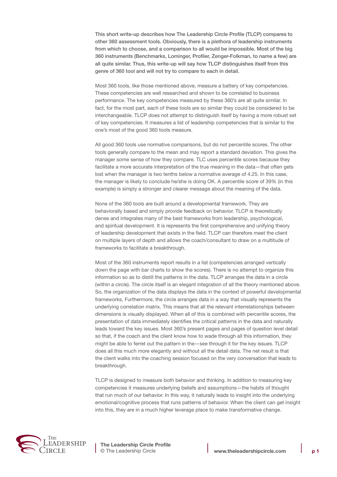This short write-up describes how The Leadership Circle Profile (TLCP) compares to other 360 assessment tools. Obviously, there is a plethora of leadership instruments from which to choose, and a comparison to all would be impossible. Most of the big 360 instruments (Benchmarks, Lominger, Profiler, Zenger-Folkman, to name a few) are all quite similar. Thus, this write-up will say how TLCP distinguishes itself from this genre of 360 tool and will not try to compare to each in detail.

Most 360 tools, like those mentioned above, measure a battery of key competencies. These competencies are well researched and shown to be correlated to business performance. The key competencies measured by these 360's are all quite similar. In fact, for the most part, each of these tools are so similar they could be considered to be interchangeable. TLCP does not attempt to distinguish itself by having a more robust set of key competencies. It measures a list of leadership competencies that is similar to the one's most of the good 360 tools measure.

All good 360 tools use normative comparisons, but do not percentile scores. The other tools generally compare to the mean and may report a standard deviation. This gives the manager some sense of how they compare. TLC uses percentile scores because they facilitate a more accurate interpretation of the true meaning in the data—that often gets lost when the manager is two tenths below a normative average of 4.25. In this case, the manager is likely to conclude he/she is doing OK. A percentile score of 39% (in this example) is simply a stronger and clearer message about the meaning of the data.

None of the 360 tools are built around a developmental framework. They are behaviorally based and simply provide feedback on behavior. TLCP is theoretically dense and integrates many of the best frameworks from leadership, psychological, and spiritual development. It is represents the first comprehensive and unifying theory of leadership development that exists in the field. TLCP can therefore meet the client on multiple layers of depth and allows the coach/consultant to draw on a multitude of frameworks to facilitate a breakthrough.

Most of the 360 instruments report results in a list (competencies arranged vertically down the page with bar charts to show the scores). There is no attempt to organize this information so as to distill the patterns in the data. TLCP arranges the data in a circle (within a circle). The circle itself is an elegant integration of all the theory mentioned above. So, the organization of the data displays the data in the context of powerful developmental frameworks, Furthermore, the circle arranges data in a way that visually represents the underlying correlation matrix. This means that all the relevant interrelationships between dimensions is visually displayed. When all of this is combined with percentile scores, the presentation of data immediately identifies the critical patterns in the data and naturally leads toward the key issues. Most 360's present pages and pages of question level detail so that, if the coach and the client know how to wade through all this information, they might be able to ferret out the pattern in the—see through it for the key issues. TLCP does all this much more elegantly and without all the detail data. The net result is that the client walks into the coaching session focused on the very conversation that leads to breakthrough.

TLCP is designed to measure both behavior and thinking. In addition to measuring key competencies it measures underlying beliefs and assumptions—the habits of thought that run much of our behavior. In this way, it naturally leads to insight into the underlying emotional/cognitive process that runs patterns of behavior. When the client can get insight into this, they are in a much higher leverage place to make transformative change.



**The Leadership Circle Profile** © The Leadership Circle **www.theleadershipcircle.com p 1**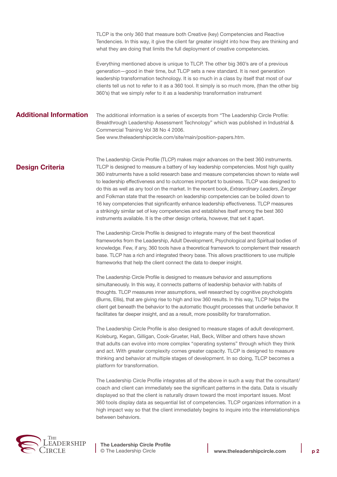TLCP is the only 360 that measure both Creative (key) Competencies and Reactive Tendencies. In this way, it give the client far greater insight into how they are thinking and what they are doing that limits the full deployment of creative competencies.

Everything mentioned above is unique to TLCP. The other big 360's are of a previous generation—good in their time, but TLCP sets a new standard. It is next generation leadership transformation technology. It is so much in a class by itself that most of our clients tell us not to refer to it as a 360 tool. It simply is so much more, (than the other big 360's) that we simply refer to it as a leadership transformation instrument

## **Additional Information**

The additional information is a series of excerpts from "The Leadership Circle Profile: Breakthrough Leadership Assessment Technology" which was published in Industrial & Commercial Training Vol 38 No 4 2006. See www.theleadershipcircle.com/site/main/position-papers.htm.

# **Design Criteria**

The Leadership Circle Profile (TLCP) makes major advances on the best 360 instruments. TLCP is designed to measure a battery of key leadership competencies. Most high quality 360 instruments have a solid research base and measure competencies shown to relate well to leadership effectiveness and to outcomes important to business. TLCP was designed to do this as well as any tool on the market. In the recent book, *Extraordinary Leaders*, Zenger and Folkman state that the research on leadership competencies can be boiled down to 16 key competencies that significantly enhance leadership effectiveness. TLCP measures a strikingly similar set of key competencies and establishes itself among the best 360 instruments available. It is the other design criteria, however, that set it apart.

The Leadership Circle Profile is designed to integrate many of the best theoretical frameworks from the Leadership, Adult Development, Psychological and Spiritual bodies of knowledge. Few, if any, 360 tools have a theoretical framework to complement their research base. TLCP has a rich and integrated theory base. This allows practitioners to use multiple frameworks that help the client connect the data to deeper insight.

The Leadership Circle Profile is designed to measure behavior and assumptions simultaneously. In this way, it connects patterns of leadership behavior with habits of thoughts. TLCP measures inner assumptions, well researched by cognitive psychologists (Burns, Ellis), that are giving rise to high and low 360 results. In this way, TLCP helps the client get beneath the behavior to the automatic thought processes that underlie behavior. It facilitates far deeper insight, and as a result, more possibility for transformation.

The Leadership Circle Profile is also designed to measure stages of adult development. Koleburg, Kegan, Gilligan, Cook-Grueter, Hall, Beck, Wilber and others have shown that adults can evolve into more complex "operating systems" through which they think and act. With greater complexity comes greater capacity. TLCP is designed to measure thinking and behavior at multiple stages of development. In so doing, TLCP becomes a platform for transformation.

The Leadership Circle Profile integrates all of the above in such a way that the consultant/ coach and client can immediately see the significant patterns in the data. Data is visually displayed so that the client is naturally drawn toward the most important issues. Most 360 tools display data as sequential list of competencies. TLCP organizes information in a high impact way so that the client immediately begins to inquire into the interrelationships between behaviors.



**The Leadership Circle Profile** © The Leadership Circle **www.theleadershipcircle.com p 2**